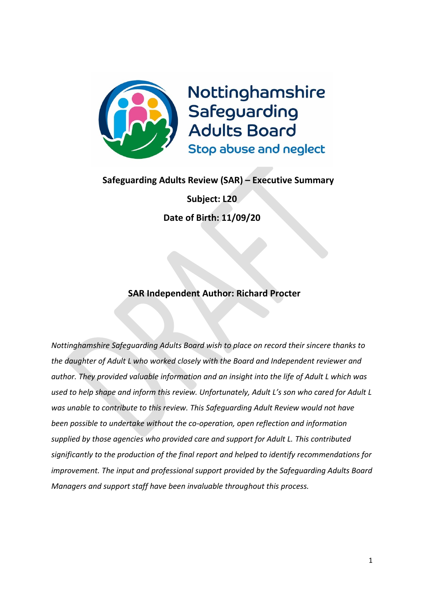

# **Safeguarding Adults Review (SAR) – Executive Summary**

**Subject: L20 Date of Birth: 11/09/20**

# **SAR Independent Author: Richard Procter**

*Nottinghamshire Safeguarding Adults Board wish to place on record their sincere thanks to the daughter of Adult L who worked closely with the Board and Independent reviewer and author. They provided valuable information and an insight into the life of Adult L which was used to help shape and inform this review. Unfortunately, Adult L's son who cared for Adult L was unable to contribute to this review. This Safeguarding Adult Review would not have been possible to undertake without the co-operation, open reflection and information supplied by those agencies who provided care and support for Adult L. This contributed significantly to the production of the final report and helped to identify recommendations for improvement. The input and professional support provided by the Safeguarding Adults Board Managers and support staff have been invaluable throughout this process.*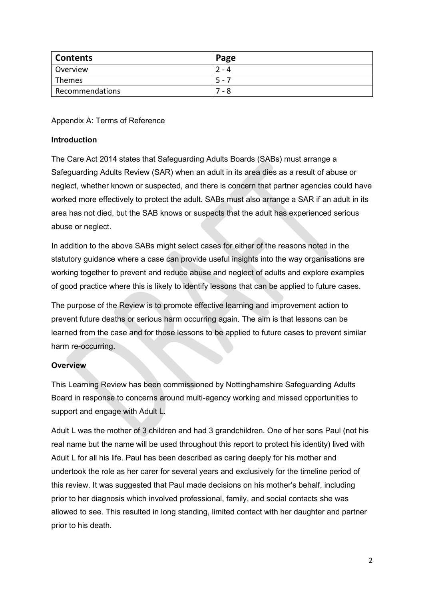| <b>Contents</b> | Page  |
|-----------------|-------|
| Overview        | - 4   |
| Themes          | $5 -$ |
| Recommendations | - 8   |

Appendix A: Terms of Reference

#### **Introduction**

The Care Act 2014 states that Safeguarding Adults Boards (SABs) must arrange a Safeguarding Adults Review (SAR) when an adult in its area dies as a result of abuse or neglect, whether known or suspected, and there is concern that partner agencies could have worked more effectively to protect the adult. SABs must also arrange a SAR if an adult in its area has not died, but the SAB knows or suspects that the adult has experienced serious abuse or neglect.

In addition to the above SABs might select cases for either of the reasons noted in the statutory guidance where a case can provide useful insights into the way organisations are working together to prevent and reduce abuse and neglect of adults and explore examples of good practice where this is likely to identify lessons that can be applied to future cases.

The purpose of the Review is to promote effective learning and improvement action to prevent future deaths or serious harm occurring again. The aim is that lessons can be learned from the case and for those lessons to be applied to future cases to prevent similar harm re-occurring.

## **Overview**

This Learning Review has been commissioned by Nottinghamshire Safeguarding Adults Board in response to concerns around multi-agency working and missed opportunities to support and engage with Adult L.

Adult L was the mother of 3 children and had 3 grandchildren. One of her sons Paul (not his real name but the name will be used throughout this report to protect his identity) lived with Adult L for all his life. Paul has been described as caring deeply for his mother and undertook the role as her carer for several years and exclusively for the timeline period of this review. It was suggested that Paul made decisions on his mother's behalf, including prior to her diagnosis which involved professional, family, and social contacts she was allowed to see. This resulted in long standing, limited contact with her daughter and partner prior to his death.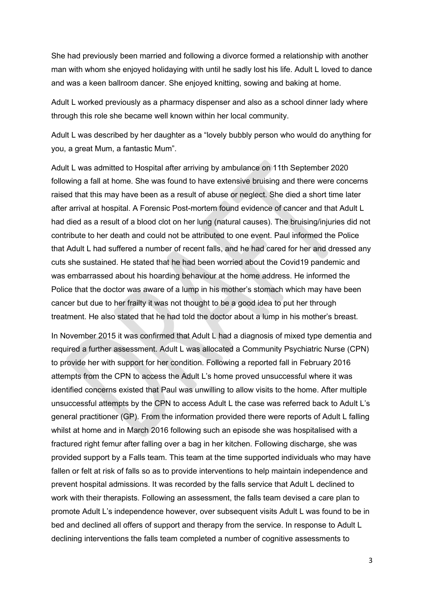She had previously been married and following a divorce formed a relationship with another man with whom she enjoyed holidaying with until he sadly lost his life. Adult L loved to dance and was a keen ballroom dancer. She enjoyed knitting, sowing and baking at home.

Adult L worked previously as a pharmacy dispenser and also as a school dinner lady where through this role she became well known within her local community.

Adult L was described by her daughter as a "lovely bubbly person who would do anything for you, a great Mum, a fantastic Mum".

Adult L was admitted to Hospital after arriving by ambulance on 11th September 2020 following a fall at home. She was found to have extensive bruising and there were concerns raised that this may have been as a result of abuse or neglect. She died a short time later after arrival at hospital. A Forensic Post-mortem found evidence of cancer and that Adult L had died as a result of a blood clot on her lung (natural causes). The bruising/injuries did not contribute to her death and could not be attributed to one event. Paul informed the Police that Adult L had suffered a number of recent falls, and he had cared for her and dressed any cuts she sustained. He stated that he had been worried about the Covid19 pandemic and was embarrassed about his hoarding behaviour at the home address. He informed the Police that the doctor was aware of a lump in his mother's stomach which may have been cancer but due to her frailty it was not thought to be a good idea to put her through treatment. He also stated that he had told the doctor about a lump in his mother's breast.

In November 2015 it was confirmed that Adult L had a diagnosis of mixed type dementia and required a further assessment. Adult L was allocated a Community Psychiatric Nurse (CPN) to provide her with support for her condition. Following a reported fall in February 2016 attempts from the CPN to access the Adult L's home proved unsuccessful where it was identified concerns existed that Paul was unwilling to allow visits to the home. After multiple unsuccessful attempts by the CPN to access Adult L the case was referred back to Adult L's general practitioner (GP). From the information provided there were reports of Adult L falling whilst at home and in March 2016 following such an episode she was hospitalised with a fractured right femur after falling over a bag in her kitchen. Following discharge, she was provided support by a Falls team. This team at the time supported individuals who may have fallen or felt at risk of falls so as to provide interventions to help maintain independence and prevent hospital admissions. It was recorded by the falls service that Adult L declined to work with their therapists. Following an assessment, the falls team devised a care plan to promote Adult L's independence however, over subsequent visits Adult L was found to be in bed and declined all offers of support and therapy from the service. In response to Adult L declining interventions the falls team completed a number of cognitive assessments to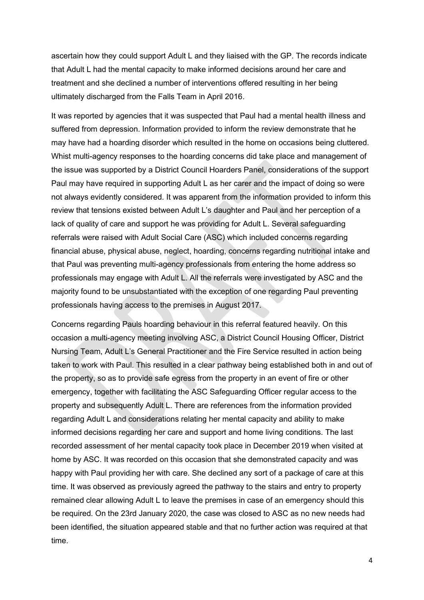ascertain how they could support Adult L and they liaised with the GP. The records indicate that Adult L had the mental capacity to make informed decisions around her care and treatment and she declined a number of interventions offered resulting in her being ultimately discharged from the Falls Team in April 2016.

It was reported by agencies that it was suspected that Paul had a mental health illness and suffered from depression. Information provided to inform the review demonstrate that he may have had a hoarding disorder which resulted in the home on occasions being cluttered. Whist multi-agency responses to the hoarding concerns did take place and management of the issue was supported by a District Council Hoarders Panel, considerations of the support Paul may have required in supporting Adult L as her carer and the impact of doing so were not always evidently considered. It was apparent from the information provided to inform this review that tensions existed between Adult L's daughter and Paul and her perception of a lack of quality of care and support he was providing for Adult L. Several safeguarding referrals were raised with Adult Social Care (ASC) which included concerns regarding financial abuse, physical abuse, neglect, hoarding, concerns regarding nutritional intake and that Paul was preventing multi-agency professionals from entering the home address so professionals may engage with Adult L. All the referrals were investigated by ASC and the majority found to be unsubstantiated with the exception of one regarding Paul preventing professionals having access to the premises in August 2017.

Concerns regarding Pauls hoarding behaviour in this referral featured heavily. On this occasion a multi-agency meeting involving ASC, a District Council Housing Officer, District Nursing Team, Adult L's General Practitioner and the Fire Service resulted in action being taken to work with Paul. This resulted in a clear pathway being established both in and out of the property, so as to provide safe egress from the property in an event of fire or other emergency, together with facilitating the ASC Safeguarding Officer regular access to the property and subsequently Adult L. There are references from the information provided regarding Adult L and considerations relating her mental capacity and ability to make informed decisions regarding her care and support and home living conditions. The last recorded assessment of her mental capacity took place in December 2019 when visited at home by ASC. It was recorded on this occasion that she demonstrated capacity and was happy with Paul providing her with care. She declined any sort of a package of care at this time. It was observed as previously agreed the pathway to the stairs and entry to property remained clear allowing Adult L to leave the premises in case of an emergency should this be required. On the 23rd January 2020, the case was closed to ASC as no new needs had been identified, the situation appeared stable and that no further action was required at that time.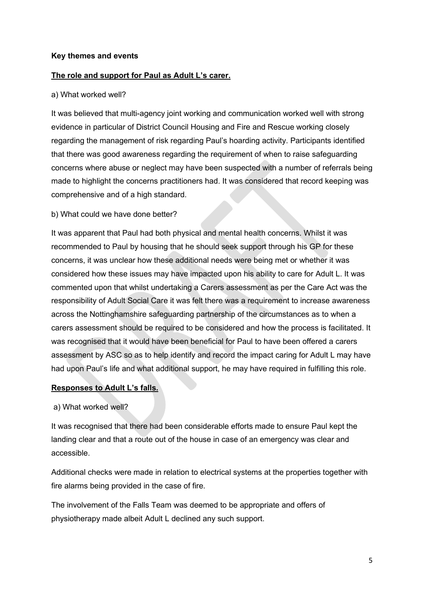#### **Key themes and events**

#### **The role and support for Paul as Adult L's carer.**

#### a) What worked well?

It was believed that multi-agency joint working and communication worked well with strong evidence in particular of District Council Housing and Fire and Rescue working closely regarding the management of risk regarding Paul's hoarding activity. Participants identified that there was good awareness regarding the requirement of when to raise safeguarding concerns where abuse or neglect may have been suspected with a number of referrals being made to highlight the concerns practitioners had. It was considered that record keeping was comprehensive and of a high standard.

#### b) What could we have done better?

It was apparent that Paul had both physical and mental health concerns. Whilst it was recommended to Paul by housing that he should seek support through his GP for these concerns, it was unclear how these additional needs were being met or whether it was considered how these issues may have impacted upon his ability to care for Adult L. It was commented upon that whilst undertaking a Carers assessment as per the Care Act was the responsibility of Adult Social Care it was felt there was a requirement to increase awareness across the Nottinghamshire safeguarding partnership of the circumstances as to when a carers assessment should be required to be considered and how the process is facilitated. It was recognised that it would have been beneficial for Paul to have been offered a carers assessment by ASC so as to help identify and record the impact caring for Adult L may have had upon Paul's life and what additional support, he may have required in fulfilling this role.

#### **Responses to Adult L's falls.**

#### a) What worked well?

It was recognised that there had been considerable efforts made to ensure Paul kept the landing clear and that a route out of the house in case of an emergency was clear and accessible.

Additional checks were made in relation to electrical systems at the properties together with fire alarms being provided in the case of fire.

The involvement of the Falls Team was deemed to be appropriate and offers of physiotherapy made albeit Adult L declined any such support.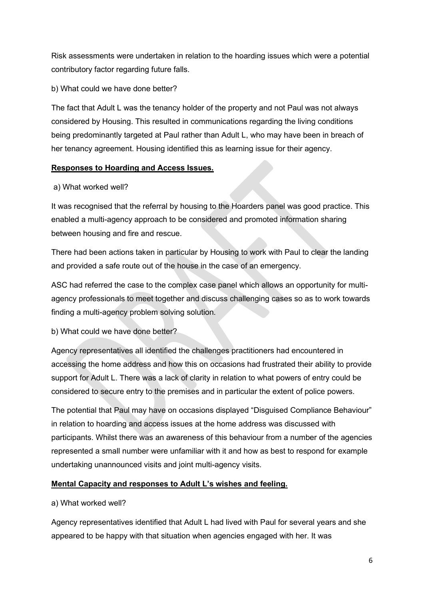Risk assessments were undertaken in relation to the hoarding issues which were a potential contributory factor regarding future falls.

b) What could we have done better?

The fact that Adult L was the tenancy holder of the property and not Paul was not always considered by Housing. This resulted in communications regarding the living conditions being predominantly targeted at Paul rather than Adult L, who may have been in breach of her tenancy agreement. Housing identified this as learning issue for their agency.

## **Responses to Hoarding and Access Issues.**

# a) What worked well?

It was recognised that the referral by housing to the Hoarders panel was good practice. This enabled a multi-agency approach to be considered and promoted information sharing between housing and fire and rescue.

There had been actions taken in particular by Housing to work with Paul to clear the landing and provided a safe route out of the house in the case of an emergency.

ASC had referred the case to the complex case panel which allows an opportunity for multiagency professionals to meet together and discuss challenging cases so as to work towards finding a multi-agency problem solving solution.

b) What could we have done better?

Agency representatives all identified the challenges practitioners had encountered in accessing the home address and how this on occasions had frustrated their ability to provide support for Adult L. There was a lack of clarity in relation to what powers of entry could be considered to secure entry to the premises and in particular the extent of police powers.

The potential that Paul may have on occasions displayed "Disguised Compliance Behaviour" in relation to hoarding and access issues at the home address was discussed with participants. Whilst there was an awareness of this behaviour from a number of the agencies represented a small number were unfamiliar with it and how as best to respond for example undertaking unannounced visits and joint multi-agency visits.

# **Mental Capacity and responses to Adult L's wishes and feeling.**

# a) What worked well?

Agency representatives identified that Adult L had lived with Paul for several years and she appeared to be happy with that situation when agencies engaged with her. It was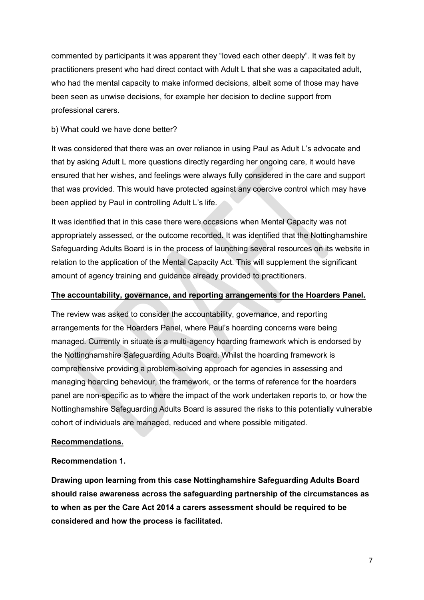commented by participants it was apparent they "loved each other deeply". It was felt by practitioners present who had direct contact with Adult L that she was a capacitated adult, who had the mental capacity to make informed decisions, albeit some of those may have been seen as unwise decisions, for example her decision to decline support from professional carers.

#### b) What could we have done better?

It was considered that there was an over reliance in using Paul as Adult L's advocate and that by asking Adult L more questions directly regarding her ongoing care, it would have ensured that her wishes, and feelings were always fully considered in the care and support that was provided. This would have protected against any coercive control which may have been applied by Paul in controlling Adult L's life.

It was identified that in this case there were occasions when Mental Capacity was not appropriately assessed, or the outcome recorded. It was identified that the Nottinghamshire Safeguarding Adults Board is in the process of launching several resources on its website in relation to the application of the Mental Capacity Act. This will supplement the significant amount of agency training and guidance already provided to practitioners.

#### **The accountability, governance, and reporting arrangements for the Hoarders Panel.**

The review was asked to consider the accountability, governance, and reporting arrangements for the Hoarders Panel, where Paul's hoarding concerns were being managed. Currently in situate is a multi-agency hoarding framework which is endorsed by the Nottinghamshire Safeguarding Adults Board. Whilst the hoarding framework is comprehensive providing a problem-solving approach for agencies in assessing and managing hoarding behaviour, the framework, or the terms of reference for the hoarders panel are non-specific as to where the impact of the work undertaken reports to, or how the Nottinghamshire Safeguarding Adults Board is assured the risks to this potentially vulnerable cohort of individuals are managed, reduced and where possible mitigated.

## **Recommendations.**

#### **Recommendation 1.**

**Drawing upon learning from this case Nottinghamshire Safeguarding Adults Board should raise awareness across the safeguarding partnership of the circumstances as to when as per the Care Act 2014 a carers assessment should be required to be considered and how the process is facilitated.**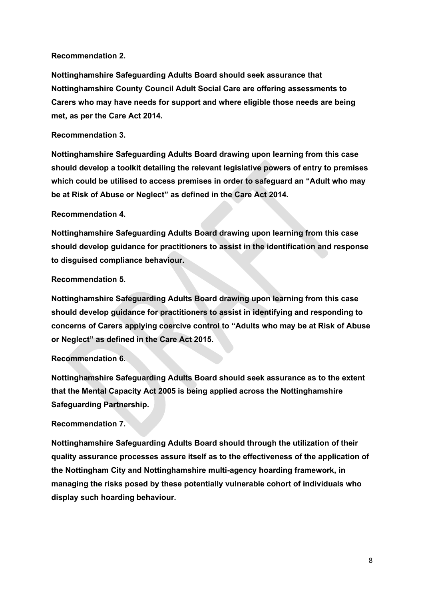#### **Recommendation 2.**

**Nottinghamshire Safeguarding Adults Board should seek assurance that Nottinghamshire County Council Adult Social Care are offering assessments to Carers who may have needs for support and where eligible those needs are being met, as per the Care Act 2014.** 

#### **Recommendation 3.**

**Nottinghamshire Safeguarding Adults Board drawing upon learning from this case should develop a toolkit detailing the relevant legislative powers of entry to premises which could be utilised to access premises in order to safeguard an "Adult who may be at Risk of Abuse or Neglect" as defined in the Care Act 2014.** 

#### **Recommendation 4.**

**Nottinghamshire Safeguarding Adults Board drawing upon learning from this case should develop guidance for practitioners to assist in the identification and response to disguised compliance behaviour.** 

#### **Recommendation 5.**

**Nottinghamshire Safeguarding Adults Board drawing upon learning from this case should develop guidance for practitioners to assist in identifying and responding to concerns of Carers applying coercive control to "Adults who may be at Risk of Abuse or Neglect" as defined in the Care Act 2015.**

## **Recommendation 6.**

**Nottinghamshire Safeguarding Adults Board should seek assurance as to the extent that the Mental Capacity Act 2005 is being applied across the Nottinghamshire Safeguarding Partnership.** 

## **Recommendation 7.**

**Nottinghamshire Safeguarding Adults Board should through the utilization of their quality assurance processes assure itself as to the effectiveness of the application of the Nottingham City and Nottinghamshire multi-agency hoarding framework, in managing the risks posed by these potentially vulnerable cohort of individuals who display such hoarding behaviour.**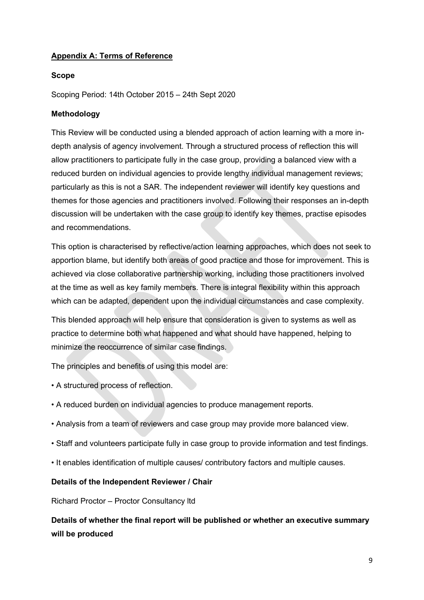# **Appendix A: Terms of Reference**

#### **Scope**

Scoping Period: 14th October 2015 – 24th Sept 2020

#### **Methodology**

This Review will be conducted using a blended approach of action learning with a more indepth analysis of agency involvement. Through a structured process of reflection this will allow practitioners to participate fully in the case group, providing a balanced view with a reduced burden on individual agencies to provide lengthy individual management reviews; particularly as this is not a SAR. The independent reviewer will identify key questions and themes for those agencies and practitioners involved. Following their responses an in-depth discussion will be undertaken with the case group to identify key themes, practise episodes and recommendations.

This option is characterised by reflective/action learning approaches, which does not seek to apportion blame, but identify both areas of good practice and those for improvement. This is achieved via close collaborative partnership working, including those practitioners involved at the time as well as key family members. There is integral flexibility within this approach which can be adapted, dependent upon the individual circumstances and case complexity.

This blended approach will help ensure that consideration is given to systems as well as practice to determine both what happened and what should have happened, helping to minimize the reoccurrence of similar case findings.

The principles and benefits of using this model are:

- A structured process of reflection.
- A reduced burden on individual agencies to produce management reports.
- Analysis from a team of reviewers and case group may provide more balanced view.
- Staff and volunteers participate fully in case group to provide information and test findings.
- It enables identification of multiple causes/ contributory factors and multiple causes.

#### **Details of the Independent Reviewer / Chair**

Richard Proctor – Proctor Consultancy ltd

**Details of whether the final report will be published or whether an executive summary will be produced**